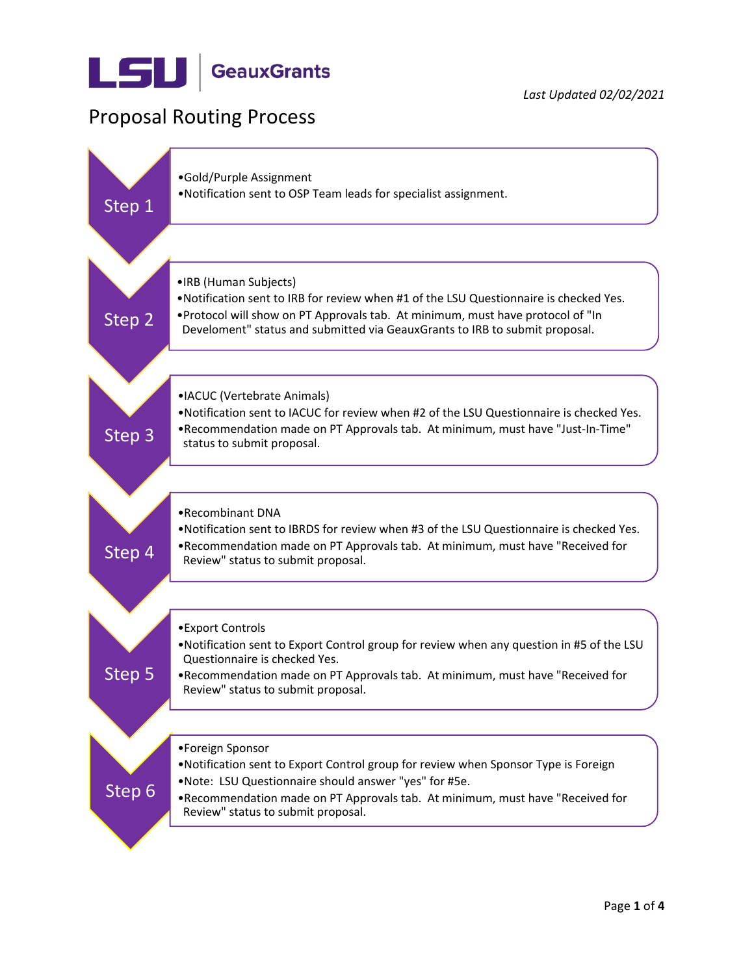

## Proposal Routing Process

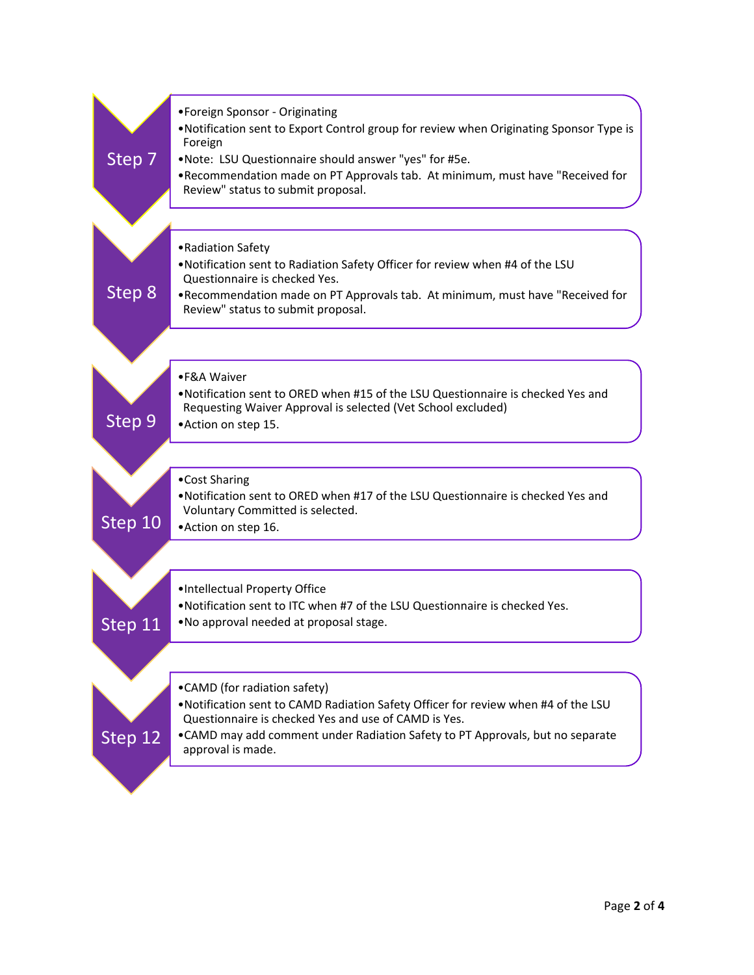| Step 7            | •Foreign Sponsor - Originating<br>. Notification sent to Export Control group for review when Originating Sponsor Type is<br>Foreign<br>.Note: LSU Questionnaire should answer "yes" for #5e.<br>. Recommendation made on PT Approvals tab. At minimum, must have "Received for<br>Review" status to submit proposal. |
|-------------------|-----------------------------------------------------------------------------------------------------------------------------------------------------------------------------------------------------------------------------------------------------------------------------------------------------------------------|
| Step 8            | • Radiation Safety<br>. Notification sent to Radiation Safety Officer for review when #4 of the LSU<br>Questionnaire is checked Yes.<br>. Recommendation made on PT Approvals tab. At minimum, must have "Received for<br>Review" status to submit proposal.                                                          |
| Step <sub>9</sub> | •F&A Waiver<br>. Notification sent to ORED when #15 of the LSU Questionnaire is checked Yes and<br>Requesting Waiver Approval is selected (Vet School excluded)<br>•Action on step 15.                                                                                                                                |
| Step 10           | •Cost Sharing<br>. Notification sent to ORED when #17 of the LSU Questionnaire is checked Yes and<br>Voluntary Committed is selected.<br>• Action on step 16.                                                                                                                                                         |
| Step 11           | . Intellectual Property Office<br>.Notification sent to ITC when #7 of the LSU Questionnaire is checked Yes.<br>.No approval needed at proposal stage.                                                                                                                                                                |
| Step 12           | •CAMD (for radiation safety)<br>. Notification sent to CAMD Radiation Safety Officer for review when #4 of the LSU<br>Questionnaire is checked Yes and use of CAMD is Yes.<br>. CAMD may add comment under Radiation Safety to PT Approvals, but no separate<br>approval is made.                                     |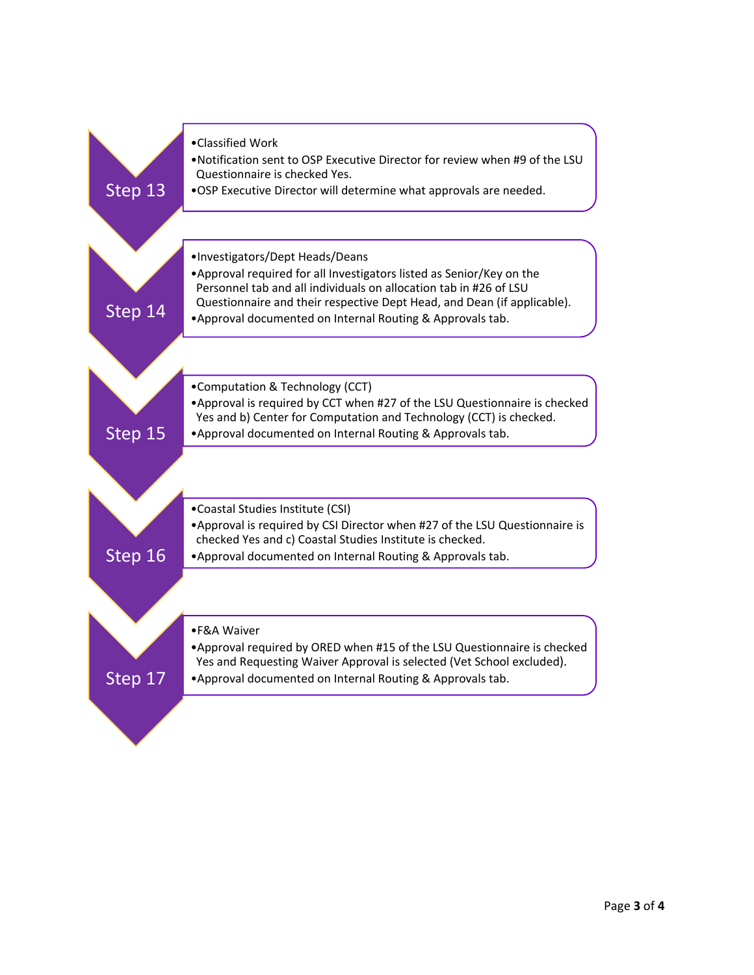| Step 13 | •Classified Work<br>.Notification sent to OSP Executive Director for review when #9 of the LSU<br>Questionnaire is checked Yes.<br>.OSP Executive Director will determine what approvals are needed.                                                                                                                   |
|---------|------------------------------------------------------------------------------------------------------------------------------------------------------------------------------------------------------------------------------------------------------------------------------------------------------------------------|
| Step 14 | ·Investigators/Dept Heads/Deans<br>• Approval required for all Investigators listed as Senior/Key on the<br>Personnel tab and all individuals on allocation tab in #26 of LSU<br>Questionnaire and their respective Dept Head, and Dean (if applicable).<br>. Approval documented on Internal Routing & Approvals tab. |
|         |                                                                                                                                                                                                                                                                                                                        |
| Step 15 | •Computation & Technology (CCT)<br>. Approval is required by CCT when #27 of the LSU Questionnaire is checked<br>Yes and b) Center for Computation and Technology (CCT) is checked.<br>• Approval documented on Internal Routing & Approvals tab.                                                                      |
|         |                                                                                                                                                                                                                                                                                                                        |
| Step 16 | •Coastal Studies Institute (CSI)<br>• Approval is required by CSI Director when #27 of the LSU Questionnaire is<br>checked Yes and c) Coastal Studies Institute is checked.<br>• Approval documented on Internal Routing & Approvals tab.                                                                              |
|         |                                                                                                                                                                                                                                                                                                                        |
| Step 17 | •F&A Waiver<br>. Approval required by ORED when #15 of the LSU Questionnaire is checked<br>Yes and Requesting Waiver Approval is selected (Vet School excluded).<br>. Approval documented on Internal Routing & Approvals tab.                                                                                         |
|         |                                                                                                                                                                                                                                                                                                                        |